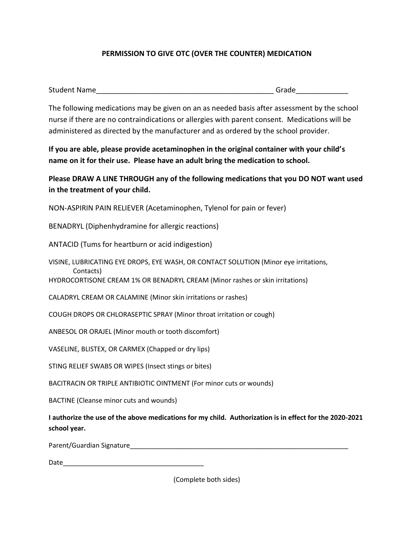## **PERMISSION TO GIVE OTC (OVER THE COUNTER) MEDICATION**

| <b>Student Name</b> | :rode |
|---------------------|-------|
|---------------------|-------|

The following medications may be given on an as needed basis after assessment by the school nurse if there are no contraindications or allergies with parent consent. Medications will be administered as directed by the manufacturer and as ordered by the school provider.

**If you are able, please provide acetaminophen in the original container with your child's name on it for their use. Please have an adult bring the medication to school.** 

**Please DRAW A LINE THROUGH any of the following medications that you DO NOT want used in the treatment of your child.** 

NON-ASPIRIN PAIN RELIEVER (Acetaminophen, Tylenol for pain or fever)

BENADRYL (Diphenhydramine for allergic reactions)

ANTACID (Tums for heartburn or acid indigestion)

VISINE, LUBRICATING EYE DROPS, EYE WASH, OR CONTACT SOLUTION (Minor eye irritations, Contacts)

HYDROCORTISONE CREAM 1% OR BENADRYL CREAM (Minor rashes or skin irritations)

CALADRYL CREAM OR CALAMINE (Minor skin irritations or rashes)

COUGH DROPS OR CHLORASEPTIC SPRAY (Minor throat irritation or cough)

ANBESOL OR ORAJEL (Minor mouth or tooth discomfort)

VASELINE, BLISTEX, OR CARMEX (Chapped or dry lips)

STING RELIEF SWABS OR WIPES (Insect stings or bites)

BACITRACIN OR TRIPLE ANTIBIOTIC OINTMENT (For minor cuts or wounds)

BACTINE (Cleanse minor cuts and wounds)

**I authorize the use of the above medications for my child. Authorization is in effect for the 2020-2021 school year.** 

Parent/Guardian Signature\_\_\_\_\_\_\_\_\_\_\_\_\_\_\_\_\_\_\_\_\_\_\_\_\_\_\_\_\_\_\_\_\_\_\_\_\_\_\_\_\_\_\_\_\_\_\_\_\_\_\_\_\_\_\_\_\_\_\_

Date\_\_\_\_\_\_\_\_\_\_\_\_\_\_\_\_\_\_\_\_\_\_\_\_\_\_\_\_\_\_\_\_\_\_\_\_\_\_

(Complete both sides)